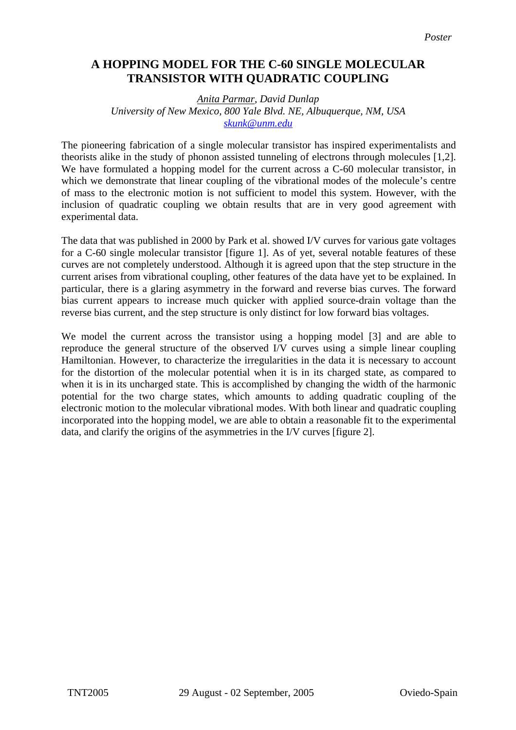## **A HOPPING MODEL FOR THE C-60 SINGLE MOLECULAR TRANSISTOR WITH QUADRATIC COUPLING**

## *Anita Parmar, David Dunlap University of New Mexico, 800 Yale Blvd. NE, Albuquerque, NM, USA [skunk@unm.edu](mailto:skunk@unm.edu)*

The pioneering fabrication of a single molecular transistor has inspired experimentalists and theorists alike in the study of phonon assisted tunneling of electrons through molecules [1,2]. We have formulated a hopping model for the current across a C-60 molecular transistor, in which we demonstrate that linear coupling of the vibrational modes of the molecule's centre of mass to the electronic motion is not sufficient to model this system. However, with the inclusion of quadratic coupling we obtain results that are in very good agreement with experimental data.

The data that was published in 2000 by Park et al. showed I/V curves for various gate voltages for a C-60 single molecular transistor [figure 1]. As of yet, several notable features of these curves are not completely understood. Although it is agreed upon that the step structure in the current arises from vibrational coupling, other features of the data have yet to be explained. In particular, there is a glaring asymmetry in the forward and reverse bias curves. The forward bias current appears to increase much quicker with applied source-drain voltage than the reverse bias current, and the step structure is only distinct for low forward bias voltages.

We model the current across the transistor using a hopping model [3] and are able to reproduce the general structure of the observed I/V curves using a simple linear coupling Hamiltonian. However, to characterize the irregularities in the data it is necessary to account for the distortion of the molecular potential when it is in its charged state, as compared to when it is in its uncharged state. This is accomplished by changing the width of the harmonic potential for the two charge states, which amounts to adding quadratic coupling of the electronic motion to the molecular vibrational modes. With both linear and quadratic coupling incorporated into the hopping model, we are able to obtain a reasonable fit to the experimental data, and clarify the origins of the asymmetries in the I/V curves [figure 2].